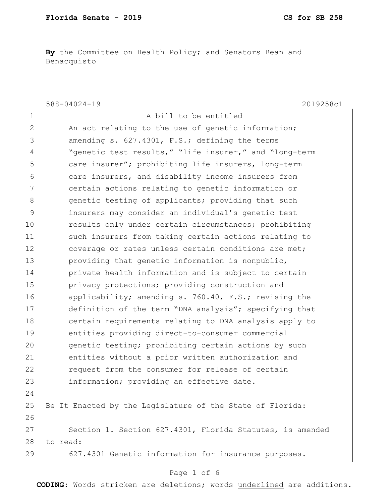**By** the Committee on Health Policy; and Senators Bean and Benacquisto

|                | $588 - 04024 - 19$<br>2019258c1                           |
|----------------|-----------------------------------------------------------|
| $\mathbf 1$    | A bill to be entitled                                     |
| $\overline{2}$ | An act relating to the use of genetic information;        |
| 3              | amending s. 627.4301, F.S.; defining the terms            |
| 4              | "genetic test results," "life insurer," and "long-term    |
| 5              | care insurer"; prohibiting life insurers, long-term       |
| 6              | care insurers, and disability income insurers from        |
| 7              | certain actions relating to genetic information or        |
| 8              | genetic testing of applicants; providing that such        |
| 9              | insurers may consider an individual's genetic test        |
| 10             | results only under certain circumstances; prohibiting     |
| 11             | such insurers from taking certain actions relating to     |
| 12             | coverage or rates unless certain conditions are met;      |
| 13             | providing that genetic information is nonpublic,          |
| 14             | private health information and is subject to certain      |
| 15             | privacy protections; providing construction and           |
| 16             | applicability; amending s. 760.40, F.S.; revising the     |
| 17             | definition of the term "DNA analysis"; specifying that    |
| 18             | certain requirements relating to DNA analysis apply to    |
| 19             | entities providing direct-to-consumer commercial          |
| 20             | genetic testing; prohibiting certain actions by such      |
| 21             | entities without a prior written authorization and        |
| 22             | request from the consumer for release of certain          |
| 23             | information; providing an effective date.                 |
| 24             |                                                           |
| 25             | Be It Enacted by the Legislature of the State of Florida: |
| 26             |                                                           |
| 27             | Section 1. Section 627.4301, Florida Statutes, is amended |
| 28             | to read:                                                  |
| 29             | 627.4301 Genetic information for insurance purposes.-     |

# Page 1 of 6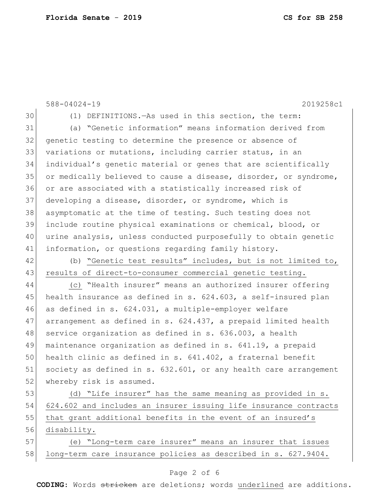|    | $588 - 04024 - 19$<br>2019258c1                                  |
|----|------------------------------------------------------------------|
| 30 | (1) DEFINITIONS. - As used in this section, the term:            |
| 31 | (a) "Genetic information" means information derived from         |
| 32 | genetic testing to determine the presence or absence of          |
| 33 | variations or mutations, including carrier status, in an         |
| 34 | individual's genetic material or genes that are scientifically   |
| 35 | or medically believed to cause a disease, disorder, or syndrome, |
| 36 | or are associated with a statistically increased risk of         |
| 37 | developing a disease, disorder, or syndrome, which is            |
| 38 | asymptomatic at the time of testing. Such testing does not       |
| 39 | include routine physical examinations or chemical, blood, or     |
| 40 | urine analysis, unless conducted purposefully to obtain genetic  |
| 41 | information, or questions regarding family history.              |
| 42 | (b) "Genetic test results" includes, but is not limited to,      |
| 43 | results of direct-to-consumer commercial genetic testing.        |
| 44 | (c) "Health insurer" means an authorized insurer offering        |
| 45 | health insurance as defined in s. 624.603, a self-insured plan   |
| 46 | as defined in s. 624.031, a multiple-employer welfare            |
| 47 | arrangement as defined in s. 624.437, a prepaid limited health   |
| 48 | service organization as defined in s. 636.003, a health          |
| 49 | maintenance organization as defined in s. 641.19, a prepaid      |
| 50 | health clinic as defined in s. 641.402, a fraternal benefit      |
| 51 | society as defined in s. 632.601, or any health care arrangement |
| 52 | whereby risk is assumed.                                         |
| 53 | (d) "Life insurer" has the same meaning as provided in s.        |
| 54 | 624.602 and includes an insurer issuing life insurance contracts |
| 55 | that grant additional benefits in the event of an insured's      |
| 56 | disability.                                                      |
| 57 | (e) "Long-term care insurer" means an insurer that issues        |
| 58 | long-term care insurance policies as described in s. 627.9404.   |

## Page 2 of 6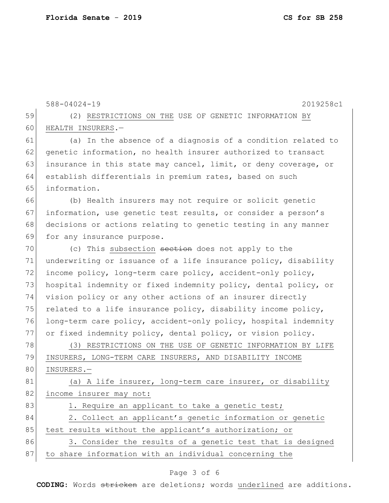588-04024-19 2019258c1 59 (2) RESTRICTIONS ON THE USE OF GENETIC INFORMATION BY 60 HEALTH INSURERS.-61 (a) In the absence of a diagnosis of a condition related to 62 genetic information, no health insurer authorized to transact 63 insurance in this state may cancel, limit, or deny coverage, or 64 establish differentials in premium rates, based on such 65 information. 66 (b) Health insurers may not require or solicit genetic 67 information, use genetic test results, or consider a person's 68 decisions or actions relating to genetic testing in any manner 69 for any insurance purpose. 70 (c) This subsection section does not apply to the 71 underwriting or issuance of a life insurance policy, disability 72 income policy, long-term care policy, accident-only policy, 73 hospital indemnity or fixed indemnity policy, dental policy, or 74 vision policy or any other actions of an insurer directly 75 related to a life insurance policy, disability income policy, 76 long-term care policy, accident-only policy, hospital indemnity 77 or fixed indemnity policy, dental policy, or vision policy. 78 (3) RESTRICTIONS ON THE USE OF GENETIC INFORMATION BY LIFE 79 INSURERS, LONG-TERM CARE INSURERS, AND DISABILITY INCOME 80 INSURERS.-81 (a) A life insurer, long-term care insurer, or disability 82 income insurer may not: 83 1. Require an applicant to take a genetic test; 84 2. Collect an applicant's genetic information or genetic 85 test results without the applicant's authorization; or 86 3. Consider the results of a genetic test that is designed 87 to share information with an individual concerning the

#### Page 3 of 6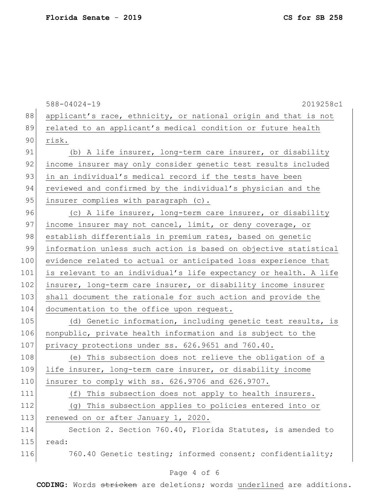588-04024-19 2019258c1 88 applicant's race, ethnicity, or national origin and that is not 89 related to an applicant's medical condition or future health 90 risk. 91 (b) A life insurer, long-term care insurer, or disability 92 income insurer may only consider genetic test results included 93 in an individual's medical record if the tests have been 94 reviewed and confirmed by the individual's physician and the 95 insurer complies with paragraph (c). 96 (c) A life insurer, long-term care insurer, or disability 97 income insurer may not cancel, limit, or deny coverage, or 98 establish differentials in premium rates, based on genetic 99 information unless such action is based on objective statistical 100 evidence related to actual or anticipated loss experience that 101 is relevant to an individual's life expectancy or health. A life 102 insurer, long-term care insurer, or disability income insurer 103 shall document the rationale for such action and provide the 104 documentation to the office upon request. 105 (d) Genetic information, including genetic test results, is 106 nonpublic, private health information and is subject to the 107 privacy protections under ss. 626.9651 and 760.40. 108 (e) This subsection does not relieve the obligation of a 109 life insurer, long-term care insurer, or disability income 110 insurer to comply with ss. 626.9706 and 626.9707. 111 (f) This subsection does not apply to health insurers. 112 (g) This subsection applies to policies entered into or 113 renewed on or after January 1, 2020. 114 Section 2. Section 760.40, Florida Statutes, is amended to 115 read: 116 760.40 Genetic testing; informed consent; confidentiality;

### Page 4 of 6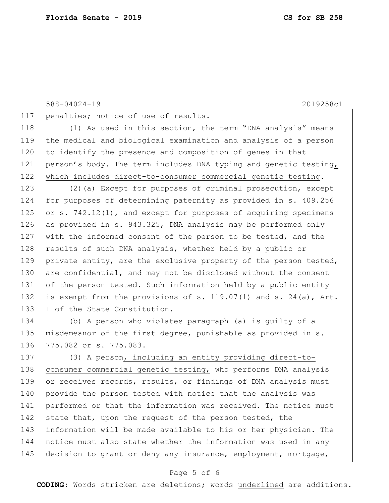```
588-04024-19 2019258c1
117 penalties; notice of use of results.-
118 (1) As used in this section, the term "DNA analysis" means
119 the medical and biological examination and analysis of a person 
120 to identify the presence and composition of genes in that
121 person's body. The term includes DNA typing and genetic testing,
122 which includes direct-to-consumer commercial genetic testing.
123 (2)(a) Except for purposes of criminal prosecution, except 
124 for purposes of determining paternity as provided in s. 409.256 
125 or s. 742.12(1), and except for purposes of acquiring specimens
126 as provided in s. 943.325, DNA analysis may be performed only 
127 with the informed consent of the person to be tested, and the 
128 results of such DNA analysis, whether held by a public or
129 private entity, are the exclusive property of the person tested,
130 are confidential, and may not be disclosed without the consent
131 of the person tested. Such information held by a public entity
132 is exempt from the provisions of s. 119.07(1) and s. 24(a), Art.
133 I of the State Constitution.
134 (b) A person who violates paragraph (a) is guilty of a 
135 misdemeanor of the first degree, punishable as provided in s. 
136 775.082 or s. 775.083.
137 (3) A person, including an entity providing direct-to-
138 consumer commercial genetic testing, who performs DNA analysis
139 or receives records, results, or findings of DNA analysis must
140 provide the person tested with notice that the analysis was
141 performed or that the information was received. The notice must
142 state that, upon the request of the person tested, the
143 information will be made available to his or her physician. The 
144 notice must also state whether the information was used in any 
145 decision to grant or deny any insurance, employment, mortgage,
```
### Page 5 of 6